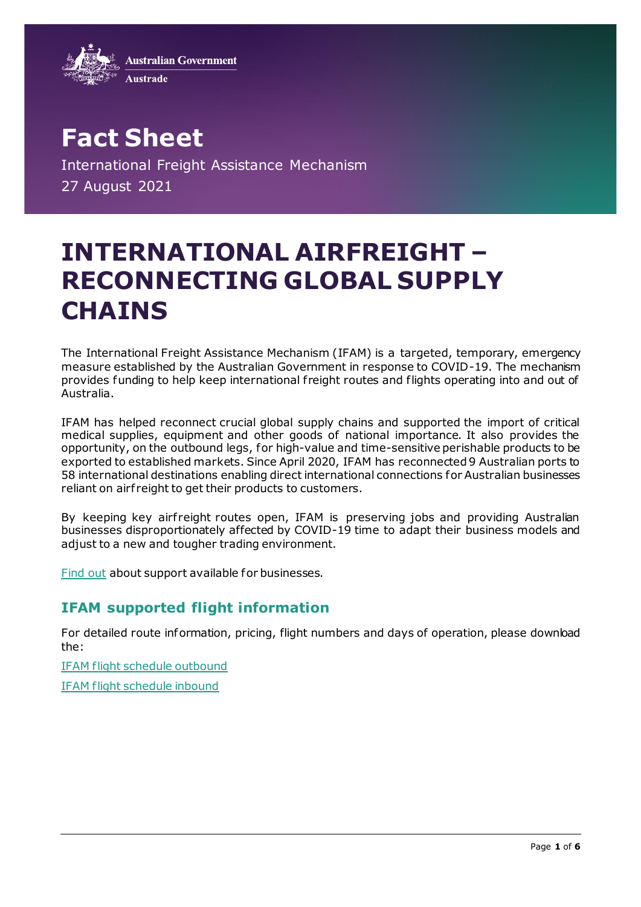**Australian Government** 



**Fact Sheet** International Freight Assistance Mechanism 27 August 2021

# **INTERNATIONAL AIRFREIGHT – RECONNECTING GLOBAL SUPPLY CHAINS**

The International Freight Assistance Mechanism (IFAM) is a targeted, temporary, emergency measure established by the Australian Government in response to COVID-19. The mechanism provides funding to help keep international f reight routes and flights operating into and out of Australia.

IFAM has helped reconnect crucial global supply chains and supported the import of critical medical supplies, equipment and other goods of national importance. It also provides the opportunity, on the outbound legs, for high-value and time-sensitive perishable products to be exported to established markets. Since April 2020, IFAM has reconnected 9 Australian ports to 58 international destinations enabling direct international connections for Australian businesses reliant on airf reight to get their products to customers.

By keeping key airfreight routes open, IFAM is preserving jobs and providing Australian businesses disproportionately affected by COVID-19 time to adapt their business models and adjust to a new and tougher trading environment.

[Find out](https://export.business.gov.au/) about support available for businesses.

# **IFAM supported flight information**

For detailed route information, pricing, flight numbers and days of operation, please download the:

[IFAM flight schedule outbound](https://www.austrade.gov.au/ArticleDocuments/5860/IFAM%20Supported%20Flights%20-%20Outbound%20schedule.pdf.aspx)

[IFAM flight schedule inbound](https://www.austrade.gov.au/ArticleDocuments/5860/IFAM%20Supported%20Flights%20-%20Inbound%20schedule.pdf.aspx)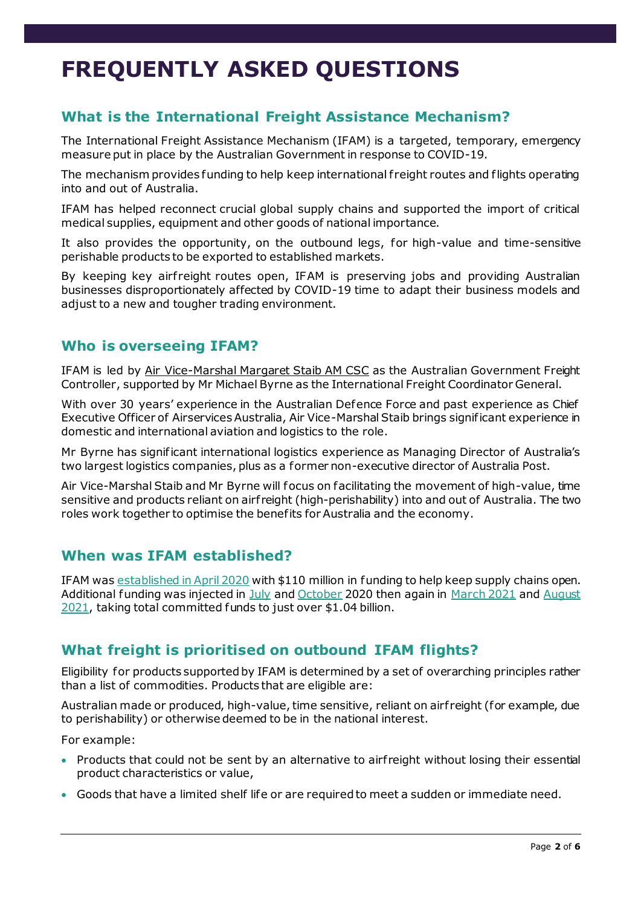# **FREQUENTLY ASKED QUESTIONS**

# **What is the International Freight Assistance Mechanism?**

The International Freight Assistance Mechanism (IFAM) is a targeted, temporary, emergency measure put in place by the Australian Government in response to COVID-19.

The mechanism provides funding to help keep international f reight routes and flights operating into and out of Australia.

IFAM has helped reconnect crucial global supply chains and supported the import of critical medical supplies, equipment and other goods of national importance.

It also provides the opportunity, on the outbound legs, for high-value and time-sensitive perishable products to be exported to established markets.

By keeping key airfreight routes open, IFAM is preserving jobs and providing Australian businesses disproportionately affected by COVID-19 time to adapt their business models and adjust to a new and tougher trading environment.

#### **Who is overseeing IFAM?**

IFAM is led by [Air Vice-Marshal Margaret Staib AM CSC](https://www.trademinister.gov.au/minister/simon-birmingham/media-release/freight-controller-appointed-manage-airfreight-national-interest) as the Australian Government Freight Controller, supported by Mr Michael Byrne as the International Freight Coordinator General.

With over 30 years' experience in the Australian Defence Force and past experience as Chief Executive Officer of Airservices Australia, Air Vice-Marshal Staib brings significant experience in domestic and international aviation and logistics to the role.

Mr Byrne has significant international logistics experience as Managing Director of Australia's two largest logistics companies, plus as a former non-executive director of Australia Post.

Air Vice-Marshal Staib and Mr Byrne will focus on facilitating the movement of high-value, time sensitive and products reliant on airf reight (high-perishability) into and out of Australia. The two roles work together to optimise the benefits for Australia and the economy.

#### **When was IFAM established?**

IFAM wa[s established in April 2020](https://www.trademinister.gov.au/minister/simon-birmingham/media-release/securing-freight-access-australian-agricultural-and-fisheries-exporters) with \$110 million in funding to help keep supply chains open. Additional funding was injected in [July](https://www.trademinister.gov.au/minister/simon-birmingham/media-release/freight-flights-boost-australian-exporters) an[d October](https://www.trademinister.gov.au/minister/simon-birmingham/media-release/trade-tourism-and-investment-critical-economic-recovery-and-jobs) 2020 then again in [March 2021](https://www.pm.gov.au/media/tourism-and-aviations-flight-path-recovery) an[d August](https://www.trademinister.gov.au/minister/dan-tehan/media-release/emergency-freight-support-extended-help-australian-businesses) [2021,](https://www.trademinister.gov.au/minister/dan-tehan/media-release/emergency-freight-support-extended-help-australian-businesses) taking total committed funds to just over \$1.04 billion.

#### **What freight is prioritised on outbound IFAM flights?**

Eligibility for products supported by IFAM is determined by a set of overarching principles rather than a list of commodities. Products that are eligible are:

Australian made or produced, high-value, time sensitive, reliant on airfreight (for example, due to perishability) or otherwise deemed to be in the national interest.

For example:

- Products that could not be sent by an alternative to airfreight without losing their essential product characteristics or value,
- Goods that have a limited shelf life or are required to meet a sudden or immediate need.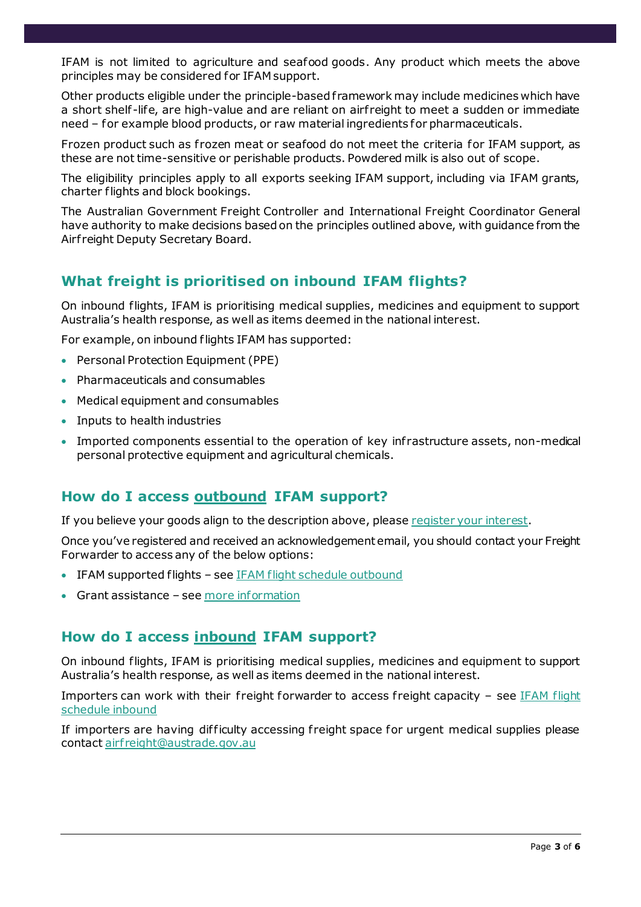IFAM is not limited to agriculture and seafood goods. Any product which meets the above principles may be considered for IFAM support.

Other products eligible under the principle-basedf ramework may include medicines which have a short shelf -life, are high-value and are reliant on airf reight to meet a sudden or immediate need – for example blood products, or raw material ingredients for pharmaceuticals.

Frozen product such as frozen meat or seafood do not meet the criteria for IFAM support, as these are not time-sensitive or perishable products. Powdered milk is also out of scope.

The eligibility principles apply to all exports seeking IFAM support, including via IFAM grants, charter flights and block bookings.

The Australian Government Freight Controller and International Freight Coordinator General have authority to make decisions based on the principles outlined above, with guidance from the Airf reight Deputy Secretary Board.

## **What freight is prioritised on inbound IFAM flights?**

On inbound flights, IFAM is prioritising medical supplies, medicines and equipment to support Australia's health response, as well as items deemed in the national interest.

For example, on inbound flights IFAM has supported:

- Personal Protection Equipment (PPE)
- Pharmaceuticals and consumables
- Medical equipment and consumables
- Inputs to health industries
- Imported components essential to the operation of key infrastructure assets, non-medical personal protective equipment and agricultural chemicals.

#### **How do I access outbound IFAM support?**

If you believe your goods align to the description above, pleas[e register your interest](https://haveyoursay.agriculture.gov.au/international-freight-assistance).

Once you've registered and received an acknowledgement email, you should contact your Freight Forwarder to access any of the below options:

- IFAM supported flights se[e IFAM flight schedule outbound](https://www.austrade.gov.au/ArticleDocuments/5860/IFAM%20Supported%20Flights%20-%20Outbound%20schedule.pdf.aspx)
- Grant assistance se[e more information](https://www.austrade.gov.au/News/News/international-freight-assistance-mechanism#8)

#### **How do I access inbound IFAM support?**

On inbound flights, IFAM is prioritising medical supplies, medicines and equipment to support Australia's health response, as well as items deemed in the national interest.

Importers can work with their freight forwarder to access freight capacity  $-$  see IFAM flight [schedule inbound](https://www.austrade.gov.au/ArticleDocuments/5860/IFAM%20Supported%20Flights%20-%20Inbound%20schedule.pdf.aspx)

If importers are having difficulty accessing freight space for urgent medical supplies please contac[t airf reight@austrade.gov.au](mailto:airfreight@austrade.gov.au)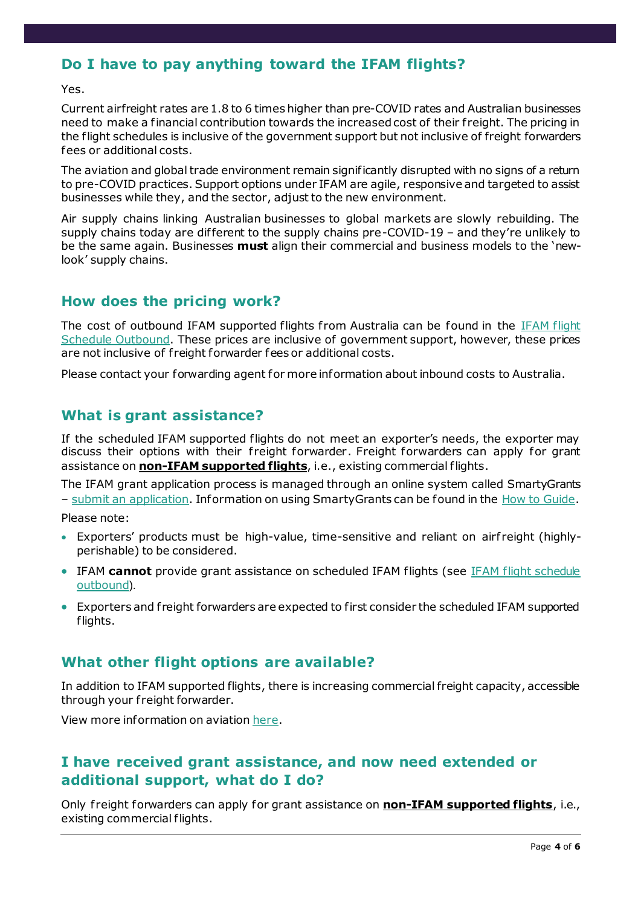# **Do I have to pay anything toward the IFAM flights?**

Yes.

Current airfreight rates are 1.8 to 6 times higher than pre-COVID rates and Australian businesses need to make a financial contribution towards the increased cost of their f reight. The pricing in the flight schedules is inclusive of the government support but not inclusive of freight forwarders fees or additional costs.

The aviation and global trade environment remain significantly disrupted with no signs of a return to pre-COVID practices. Support options under IFAM are agile, responsive and targeted to assist businesses while they, and the sector, adjust to the new environment.

Air supply chains linking Australian businesses to global markets are slowly rebuilding. The supply chains today are different to the supply chains pre-COVID-19 – and they're unlikely to be the same again. Businesses **must** align their commercial and business models to the 'newlook' supply chains.

#### **How does the pricing work?**

The cost of outbound IFAM supported flights from Australia can be found in the IFAM flight [Schedule Outbound.](https://www.austrade.gov.au/ArticleDocuments/5860/IFAM%20Supported%20Flights%20-%20Outbound%20schedule.pdf.aspx) These prices are inclusive of government support, however, these prices are not inclusive of freight forwarder fees or additional costs.

Please contact your forwarding agent for more information about inbound costs to Australia.

## **What is grant assistance?**

If the scheduled IFAM supported flights do not meet an exporter's needs, the exporter may discuss their options with their freight forwarder. Freight forwarders can apply for grant assistance on **non-IFAM supported flights**, i.e., existing commercial flights.

The IFAM grant application process is managed through an online system called SmartyGrants – [submit an application.](https://ifam.smartygrants.com.au/exportgrantst4) Information on using SmartyGrants can be found in the [How to Guide.](https://www.austrade.gov.au/ArticleDocuments/5860/SmartyGrants%20Introduction.pdf.aspx)

Please note:

- Exporters' products must be high-value, time-sensitive and reliant on airfreight (highlyperishable) to be considered.
- IFAM **cannot** provide grant assistance on scheduled IFAM flights (see IFAM flight schedule [outbound](https://www.austrade.gov.au/ArticleDocuments/5860/IFAM%20Supported%20Flights%20-%20Inbound%20schedule.pdf.aspx)).
- Exporters and f reight forwarders are expected to first consider the scheduled IFAM supported flights.

#### **What other flight options are available?**

In addition to IFAM supported flights, there is increasing commercial freight capacity, accessible through your freight forwarder.

View more information on aviatio[n here.](https://www.infrastructure.gov.au/aviation/)

#### **I have received grant assistance, and now need extended or additional support, what do I do?**

Only f reight forwarders can apply for grant assistance on **non-IFAM supported flights**, i.e., existing commercial flights.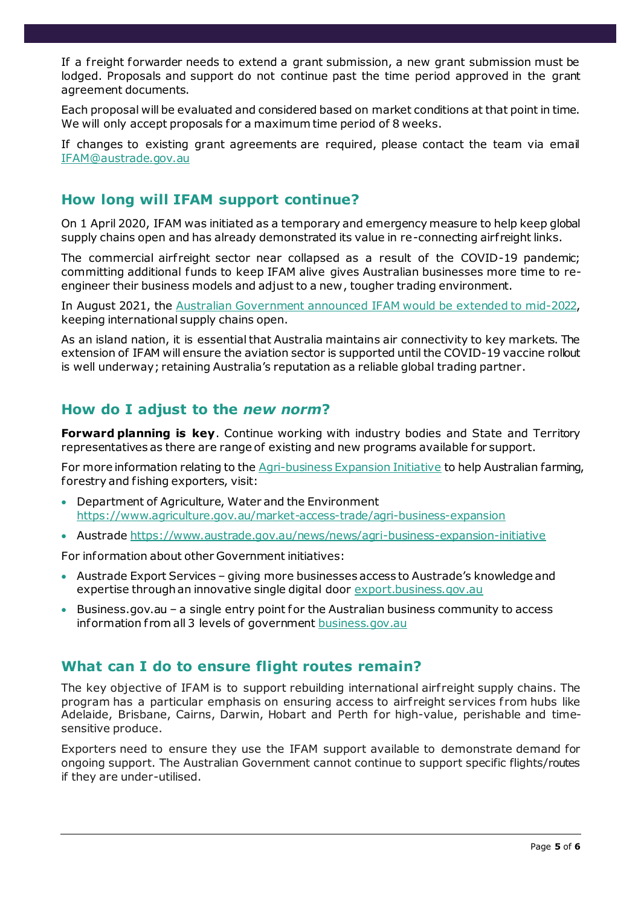If a f reight forwarder needs to extend a grant submission, a new grant submission must be lodged. Proposals and support do not continue past the time period approved in the grant agreement documents.

Each proposal will be evaluated and considered based on market conditions at that point in time. We will only accept proposals for a maximum time period of 8 weeks.

If changes to existing grant agreements are required, please contact the team via email [IFAM@austrade.gov.au](mailto:IFAM@austrade.gov.au)

#### **How long will IFAM support continue?**

On 1 April 2020, IFAM was initiated as a temporary and emergency measure to help keep global supply chains open and has already demonstrated its value in re-connecting airf reight links.

The commercial airf reight sector near collapsed as a result of the COVID-19 pandemic; committing additional funds to keep IFAM alive gives Australian businesses more time to reengineer their business models and adjust to a new, tougher trading environment.

In August 2021, the [Australian Government announced](https://www.trademinister.gov.au/minister/dan-tehan/media-release/emergency-freight-support-extended-help-australian-businesses) IFAM would be extended to mid-2022, keeping international supply chains open.

As an island nation, it is essential that Australia maintains air connectivity to key markets. The extension of IFAM will ensure the aviation sector is supported until the COVID-19 vaccine rollout is well underway; retaining Australia's reputation as a reliable global trading partner.

#### **How do I adjust to the** *new norm***?**

**Forward planning is key.** Continue working with industry bodies and State and Territory representatives as there are range of existing and new programs available for support.

For more information relating to th[e Agri-business Expansion Initiative](https://www.trademinister.gov.au/minister/dan-tehan/media-release/joint-media-release-backing-australian-farmers-expand-horizons-2021) to help Australian farming, forestry and fishing exporters, visit:

- Department of Agriculture, Water and the Environment <https://www.agriculture.gov.au/market-access-trade/agri-business-expansion>
- Austrad[e https://www.austrade.gov.au/news/news/agri-business-expansion-initiative](https://www.austrade.gov.au/news/news/agri-business-expansion-initiative)

For information about other Government initiatives:

- Austrade Export Services giving more businesses access to Austrade's knowledge and expertise through an innovative single digital door [export.business.gov.au](https://export.business.gov.au/)
- Business.gov.au a single entry point for the Australian business community to access information from all 3 levels of governmen[t business.gov.au](https://business.gov.au/)

#### **What can I do to ensure flight routes remain?**

The key objective of IFAM is to support rebuilding international airfreight supply chains. The program has a particular emphasis on ensuring access to airfreight services from hubs like Adelaide, Brisbane, Cairns, Darwin, Hobart and Perth for high-value, perishable and timesensitive produce.

Exporters need to ensure they use the IFAM support available to demonstrate demand for ongoing support. The Australian Government cannot continue to support specific flights/routes if they are under-utilised.